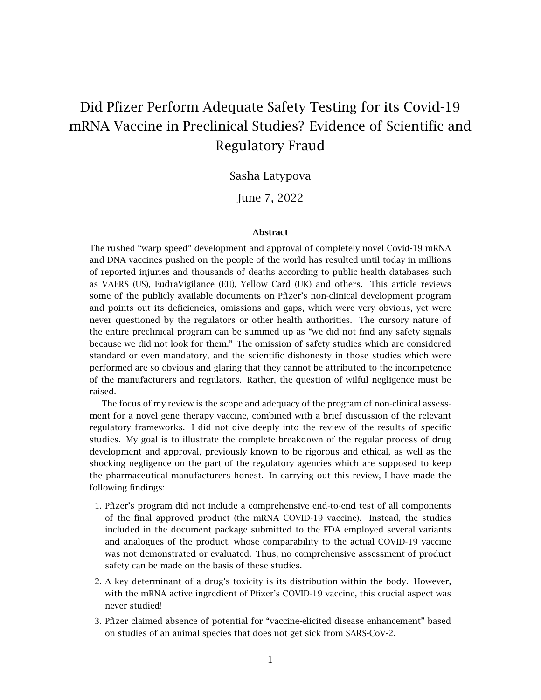# Did Pfizer Perform Adequate Safety Testing for its Covid-19 mRNA Vaccine in Preclinical Studies? Evidence of Scientific and Regulatory Fraud

### Sasha Latypova

June 7, 2022

#### Abstract

The rushed "warp speed" development and approval of completely novel Covid-19 mRNA and DNA vaccines pushed on the people of the world has resulted until today in millions of reported injuries and thousands of deaths according to public health databases such as VAERS (US), EudraVigilance (EU), Yellow Card (UK) and others. This article reviews some of the publicly available documents on Pfizer's non-clinical development program and points out its deficiencies, omissions and gaps, which were very obvious, yet were never questioned by the regulators or other health authorities. The cursory nature of the entire preclinical program can be summed up as "we did not find any safety signals because we did not look for them." The omission of safety studies which are considered standard or even mandatory, and the scientific dishonesty in those studies which were performed are so obvious and glaring that they cannot be attributed to the incompetence of the manufacturers and regulators. Rather, the question of wilful negligence must be raised.

The focus of my review is the scope and adequacy of the program of non-clinical assessment for a novel gene therapy vaccine, combined with a brief discussion of the relevant regulatory frameworks. I did not dive deeply into the review of the results of specific studies. My goal is to illustrate the complete breakdown of the regular process of drug development and approval, previously known to be rigorous and ethical, as well as the shocking negligence on the part of the regulatory agencies which are supposed to keep the pharmaceutical manufacturers honest. In carrying out this review, I have made the following findings:

- 1. Pfizer's program did not include a comprehensive end-to-end test of all components of the final approved product (the mRNA COVID-19 vaccine). Instead, the studies included in the document package submitted to the FDA employed several variants and analogues of the product, whose comparability to the actual COVID-19 vaccine was not demonstrated or evaluated. Thus, no comprehensive assessment of product safety can be made on the basis of these studies.
- 2. A key determinant of a drug's toxicity is its distribution within the body. However, with the mRNA active ingredient of Pfizer's COVID-19 vaccine, this crucial aspect was never studied!
- 3. Pfizer claimed absence of potential for "vaccine-elicited disease enhancement" based on studies of an animal species that does not get sick from SARS-CoV-2.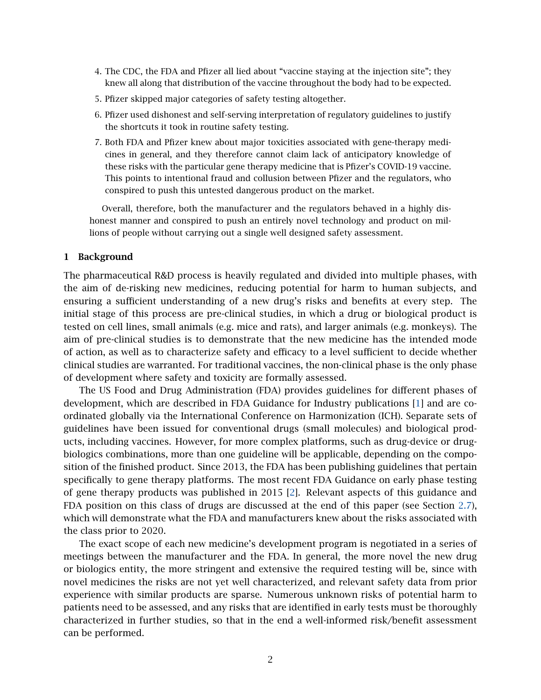- 4. The CDC, the FDA and Pfizer all lied about "vaccine staying at the injection site"; they knew all along that distribution of the vaccine throughout the body had to be expected.
- 5. Pfizer skipped major categories of safety testing altogether.
- 6. Pfizer used dishonest and self-serving interpretation of regulatory guidelines to justify the shortcuts it took in routine safety testing.
- 7. Both FDA and Pfizer knew about major toxicities associated with gene-therapy medicines in general, and they therefore cannot claim lack of anticipatory knowledge of these risks with the particular gene therapy medicine that is Pfizer's COVID-19 vaccine. This points to intentional fraud and collusion between Pfizer and the regulators, who conspired to push this untested dangerous product on the market.

Overall, therefore, both the manufacturer and the regulators behaved in a highly dishonest manner and conspired to push an entirely novel technology and product on millions of people without carrying out a single well designed safety assessment.

#### 1 Background

The pharmaceutical R&D process is heavily regulated and divided into multiple phases, with the aim of de-risking new medicines, reducing potential for harm to human subjects, and ensuring a sufficient understanding of a new drug's risks and benefits at every step. The initial stage of this process are pre-clinical studies, in which a drug or biological product is tested on cell lines, small animals (e.g. mice and rats), and larger animals (e.g. monkeys). The aim of pre-clinical studies is to demonstrate that the new medicine has the intended mode of action, as well as to characterize safety and efficacy to a level sufficient to decide whether clinical studies are warranted. For traditional vaccines, the non-clinical phase is the only phase of development where safety and toxicity are formally assessed.

The US Food and Drug Administration (FDA) provides guidelines for different phases of development, which are described in FDA Guidance for Industry publications [\[1\]](#page-14-0) and are coordinated globally via the International Conference on Harmonization (ICH). Separate sets of guidelines have been issued for conventional drugs (small molecules) and biological products, including vaccines. However, for more complex platforms, such as drug-device or drugbiologics combinations, more than one guideline will be applicable, depending on the composition of the finished product. Since 2013, the FDA has been publishing guidelines that pertain specifically to gene therapy platforms. The most recent FDA Guidance on early phase testing of gene therapy products was published in 2015 [\[2\]](#page-14-1). Relevant aspects of this guidance and FDA position on this class of drugs are discussed at the end of this paper (see Section [2.7\)](#page-11-0), which will demonstrate what the FDA and manufacturers knew about the risks associated with the class prior to 2020.

The exact scope of each new medicine's development program is negotiated in a series of meetings between the manufacturer and the FDA. In general, the more novel the new drug or biologics entity, the more stringent and extensive the required testing will be, since with novel medicines the risks are not yet well characterized, and relevant safety data from prior experience with similar products are sparse. Numerous unknown risks of potential harm to patients need to be assessed, and any risks that are identified in early tests must be thoroughly characterized in further studies, so that in the end a well-informed risk/benefit assessment can be performed.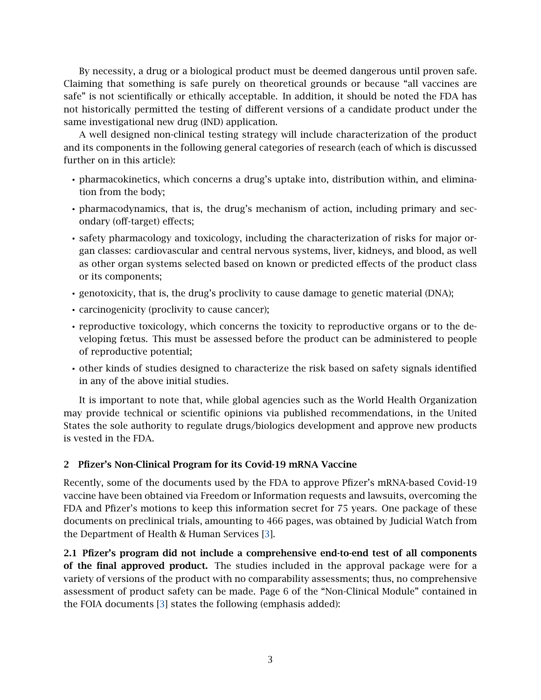By necessity, a drug or a biological product must be deemed dangerous until proven safe. Claiming that something is safe purely on theoretical grounds or because "all vaccines are safe" is not scientifically or ethically acceptable. In addition, it should be noted the FDA has not historically permitted the testing of different versions of a candidate product under the same investigational new drug (IND) application.

A well designed non-clinical testing strategy will include characterization of the product and its components in the following general categories of research (each of which is discussed further on in this article):

- pharmacokinetics, which concerns a drug's uptake into, distribution within, and elimination from the body;
- pharmacodynamics, that is, the drug's mechanism of action, including primary and secondary (off-target) effects;
- safety pharmacology and toxicology, including the characterization of risks for major organ classes: cardiovascular and central nervous systems, liver, kidneys, and blood, as well as other organ systems selected based on known or predicted effects of the product class or its components;
- genotoxicity, that is, the drug's proclivity to cause damage to genetic material (DNA);
- carcinogenicity (proclivity to cause cancer);
- reproductive toxicology, which concerns the toxicity to reproductive organs or to the developing fœtus. This must be assessed before the product can be administered to people of reproductive potential;
- other kinds of studies designed to characterize the risk based on safety signals identified in any of the above initial studies.

It is important to note that, while global agencies such as the World Health Organization may provide technical or scientific opinions via published recommendations, in the United States the sole authority to regulate drugs/biologics development and approve new products is vested in the FDA.

### 2 Pfizer's Non-Clinical Program for its Covid-19 mRNA Vaccine

Recently, some of the documents used by the FDA to approve Pfizer's mRNA-based Covid-19 vaccine have been obtained via Freedom or Information requests and lawsuits, overcoming the FDA and Pfizer's motions to keep this information secret for 75 years. One package of these documents on preclinical trials, amounting to 466 pages, was obtained by Judicial Watch from the Department of Health & Human Services [\[3\]](#page-14-2).

2.1 Pfizer's program did not include a comprehensive end-to-end test of all components of the final approved product. The studies included in the approval package were for a variety of versions of the product with no comparability assessments; thus, no comprehensive assessment of product safety can be made. Page 6 of the "Non-Clinical Module" contained in the FOIA documents [\[3\]](#page-14-2) states the following (emphasis added):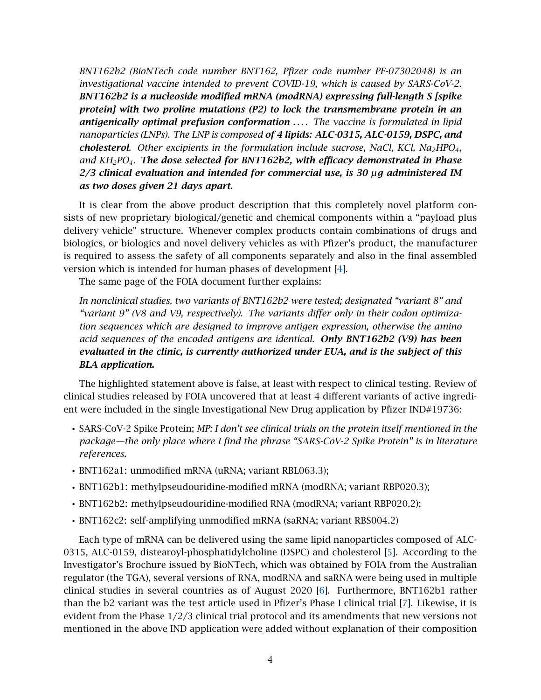*BNT162b2 (BioNTech code number BNT162, Pfizer code number PF-07302048) is an investigational vaccine intended to prevent COVID-19, which is caused by SARS-CoV-2. BNT162b2 is a nucleoside modified mRNA (modRNA) expressing full-length S [spike protein] with two proline mutations (P2) to lock the transmembrane protein in an antigenically optimal prefusion conformation . . . . The vaccine is formulated in lipid nanoparticles (LNPs). The LNP is composed of 4 lipids: ALC-0315, ALC-0159, DSPC, and cholesterol. Other excipients in the formulation include sucrose, NaCl, KCl, Na2HPO4, and KH2PO4. The dose selected for BNT162b2, with efficacy demonstrated in Phase 2/3 clinical evaluation and intended for commercial use, is 30 µg administered IM as two doses given 21 days apart.*

It is clear from the above product description that this completely novel platform consists of new proprietary biological/genetic and chemical components within a "payload plus delivery vehicle" structure. Whenever complex products contain combinations of drugs and biologics, or biologics and novel delivery vehicles as with Pfizer's product, the manufacturer is required to assess the safety of all components separately and also in the final assembled version which is intended for human phases of development [\[4\]](#page-14-3).

The same page of the FOIA document further explains:

*In nonclinical studies, two variants of BNT162b2 were tested; designated "variant 8" and "variant 9" (V8 and V9, respectively). The variants differ only in their codon optimization sequences which are designed to improve antigen expression, otherwise the amino acid sequences of the encoded antigens are identical. Only BNT162b2 (V9) has been evaluated in the clinic, is currently authorized under EUA, and is the subject of this BLA application.*

The highlighted statement above is false, at least with respect to clinical testing. Review of clinical studies released by FOIA uncovered that at least 4 different variants of active ingredient were included in the single Investigational New Drug application by Pfizer IND#19736:

- SARS-CoV-2 Spike Protein; *MP: I don't see clinical trials on the protein itself mentioned in the package—the only place where I find the phrase "SARS-CoV-2 Spike Protein" is in literature references.*
- BNT162a1: unmodified mRNA (uRNA; variant RBL063.3);
- BNT162b1: methylpseudouridine-modified mRNA (modRNA; variant RBP020.3);
- BNT162b2: methylpseudouridine-modified RNA (modRNA; variant RBP020.2);
- BNT162c2: self-amplifying unmodified mRNA (saRNA; variant RBS004.2)

Each type of mRNA can be delivered using the same lipid nanoparticles composed of ALC-0315, ALC-0159, distearoyl-phosphatidylcholine (DSPC) and cholesterol [\[5\]](#page-14-4). According to the Investigator's Brochure issued by BioNTech, which was obtained by FOIA from the Australian regulator (the TGA), several versions of RNA, modRNA and saRNA were being used in multiple clinical studies in several countries as of August 2020 [\[6\]](#page-14-5). Furthermore, BNT162b1 rather than the b2 variant was the test article used in Pfizer's Phase I clinical trial [\[7\]](#page-14-6). Likewise, it is evident from the Phase 1/2/3 clinical trial protocol and its amendments that new versions not mentioned in the above IND application were added without explanation of their composition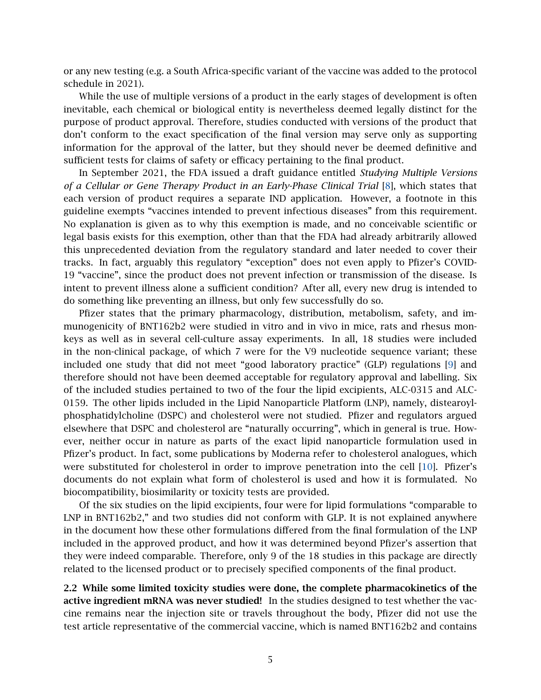or any new testing (e.g. a South Africa-specific variant of the vaccine was added to the protocol schedule in 2021).

While the use of multiple versions of a product in the early stages of development is often inevitable, each chemical or biological entity is nevertheless deemed legally distinct for the purpose of product approval. Therefore, studies conducted with versions of the product that don't conform to the exact specification of the final version may serve only as supporting information for the approval of the latter, but they should never be deemed definitive and sufficient tests for claims of safety or efficacy pertaining to the final product.

In September 2021, the FDA issued a draft guidance entitled *Studying Multiple Versions of a Cellular or Gene Therapy Product in an Early-Phase Clinical Trial* [\[8\]](#page-14-7), which states that each version of product requires a separate IND application. However, a footnote in this guideline exempts "vaccines intended to prevent infectious diseases" from this requirement. No explanation is given as to why this exemption is made, and no conceivable scientific or legal basis exists for this exemption, other than that the FDA had already arbitrarily allowed this unprecedented deviation from the regulatory standard and later needed to cover their tracks. In fact, arguably this regulatory "exception" does not even apply to Pfizer's COVID-19 "vaccine", since the product does not prevent infection or transmission of the disease. Is intent to prevent illness alone a sufficient condition? After all, every new drug is intended to do something like preventing an illness, but only few successfully do so.

Pfizer states that the primary pharmacology, distribution, metabolism, safety, and immunogenicity of BNT162b2 were studied in vitro and in vivo in mice, rats and rhesus monkeys as well as in several cell-culture assay experiments. In all, 18 studies were included in the non-clinical package, of which 7 were for the V9 nucleotide sequence variant; these included one study that did not meet "good laboratory practice" (GLP) regulations [\[9\]](#page-14-8) and therefore should not have been deemed acceptable for regulatory approval and labelling. Six of the included studies pertained to two of the four the lipid excipients, ALC-0315 and ALC-0159. The other lipids included in the Lipid Nanoparticle Platform (LNP), namely, distearoylphosphatidylcholine (DSPC) and cholesterol were not studied. Pfizer and regulators argued elsewhere that DSPC and cholesterol are "naturally occurring", which in general is true. However, neither occur in nature as parts of the exact lipid nanoparticle formulation used in Pfizer's product. In fact, some publications by Moderna refer to cholesterol analogues, which were substituted for cholesterol in order to improve penetration into the cell [\[10\]](#page-14-9). Pfizer's documents do not explain what form of cholesterol is used and how it is formulated. No biocompatibility, biosimilarity or toxicity tests are provided.

Of the six studies on the lipid excipients, four were for lipid formulations "comparable to LNP in BNT162b2," and two studies did not conform with GLP. It is not explained anywhere in the document how these other formulations differed from the final formulation of the LNP included in the approved product, and how it was determined beyond Pfizer's assertion that they were indeed comparable. Therefore, only 9 of the 18 studies in this package are directly related to the licensed product or to precisely specified components of the final product.

<span id="page-4-0"></span>2.2 While some limited toxicity studies were done, the complete pharmacokinetics of the active ingredient mRNA was never studied! In the studies designed to test whether the vaccine remains near the injection site or travels throughout the body, Pfizer did not use the test article representative of the commercial vaccine, which is named BNT162b2 and contains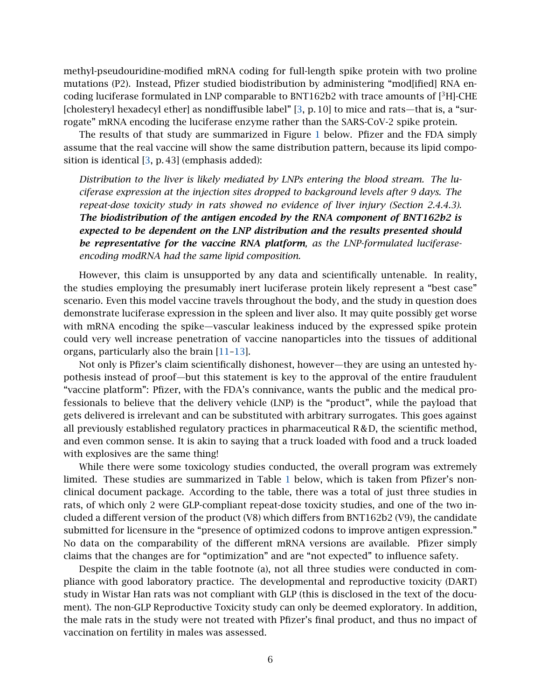methyl-pseudouridine-modified mRNA coding for full-length spike protein with two proline mutations (P2). Instead, Pfizer studied biodistribution by administering "mod[ified] RNA encoding luciferase formulated in LNP comparable to BNT162b2 with trace amounts of  $[3H]$ -CHE [cholesteryl hexadecyl ether] as nondiffusible label" [\[3,](#page-14-2) p. 10] to mice and rats—that is, a "surrogate" mRNA encoding the luciferase enzyme rather than the SARS-CoV-2 spike protein.

The results of that study are summarized in Figure [1](#page-8-0) below. Pfizer and the FDA simply assume that the real vaccine will show the same distribution pattern, because its lipid composition is identical [\[3,](#page-14-2) p. 43] (emphasis added):

*Distribution to the liver is likely mediated by LNPs entering the blood stream. The luciferase expression at the injection sites dropped to background levels after 9 days. The repeat-dose toxicity study in rats showed no evidence of liver injury (Section 2.4.4.3). The biodistribution of the antigen encoded by the RNA component of BNT162b2 is expected to be dependent on the LNP distribution and the results presented should be representative for the vaccine RNA platform, as the LNP-formulated luciferaseencoding modRNA had the same lipid composition.*

However, this claim is unsupported by any data and scientifically untenable. In reality, the studies employing the presumably inert luciferase protein likely represent a "best case" scenario. Even this model vaccine travels throughout the body, and the study in question does demonstrate luciferase expression in the spleen and liver also. It may quite possibly get worse with mRNA encoding the spike—vascular leakiness induced by the expressed spike protein could very well increase penetration of vaccine nanoparticles into the tissues of additional organs, particularly also the brain [\[11](#page-15-0)[–13\]](#page-15-1).

Not only is Pfizer's claim scientifically dishonest, however—they are using an untested hypothesis instead of proof—but this statement is key to the approval of the entire fraudulent "vaccine platform": Pfizer, with the FDA's connivance, wants the public and the medical professionals to believe that the delivery vehicle (LNP) is the "product", while the payload that gets delivered is irrelevant and can be substituted with arbitrary surrogates. This goes against all previously established regulatory practices in pharmaceutical R & D, the scientific method, and even common sense. It is akin to saying that a truck loaded with food and a truck loaded with explosives are the same thing!

While there were some toxicology studies conducted, the overall program was extremely limited. These studies are summarized in Table [1](#page-6-0) below, which is taken from Pfizer's nonclinical document package. According to the table, there was a total of just three studies in rats, of which only 2 were GLP-compliant repeat-dose toxicity studies, and one of the two included a different version of the product (V8) which differs from BNT162b2 (V9), the candidate submitted for licensure in the "presence of optimized codons to improve antigen expression." No data on the comparability of the different mRNA versions are available. Pfizer simply claims that the changes are for "optimization" and are "not expected" to influence safety.

Despite the claim in the table footnote (a), not all three studies were conducted in compliance with good laboratory practice. The developmental and reproductive toxicity (DART) study in Wistar Han rats was not compliant with GLP (this is disclosed in the text of the document). The non-GLP Reproductive Toxicity study can only be deemed exploratory. In addition, the male rats in the study were not treated with Pfizer's final product, and thus no impact of vaccination on fertility in males was assessed.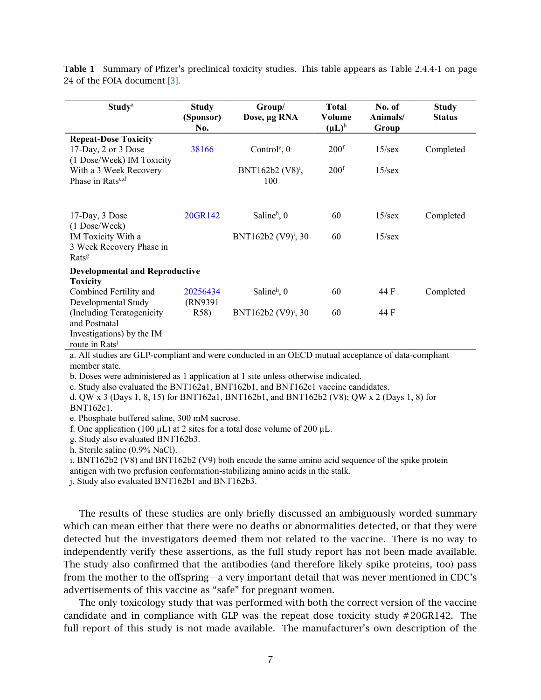<span id="page-6-0"></span>Table 1 Summary of Pfizer's preclinical toxicity studies. This table appears as Table 2.4.4-1 on page 24 of the FOIA document [\[3\]](#page-14-2).

| <b>Study</b> <sup>a</sup>             | <b>Study</b><br>(Sponsor) | Group/<br>Dose, µg RNA          | <b>Total</b><br>Volume | No. of<br>Animals/ | <b>Study</b><br><b>Status</b> |
|---------------------------------------|---------------------------|---------------------------------|------------------------|--------------------|-------------------------------|
|                                       | No.                       |                                 | $(\mu L)^b$            | Group              |                               |
| <b>Repeat-Dose Toxicity</b>           |                           |                                 |                        |                    |                               |
| 17-Day, 2 or 3 Dose                   | 38166                     | Control <sup>e</sup> , $0$      | 200 <sup>f</sup>       | 15/sec             | Completed                     |
| (1 Dose/Week) IM Toxicity             |                           |                                 |                        |                    |                               |
| With a 3 Week Recovery                |                           | BNT162b2 (V8) <sup>i</sup> ,    | 200 <sup>f</sup>       | $15$ /sex          |                               |
| Phase in Rats <sup>c,d</sup>          |                           | 100                             |                        |                    |                               |
|                                       |                           |                                 |                        |                    |                               |
| 17-Day, 3 Dose                        | 20GR142                   | Saline $h$ , 0                  | 60                     | $15$ /sex          | Completed                     |
| (1 Dose/Week)                         |                           |                                 |                        |                    |                               |
| IM Toxicity With a                    |                           | BNT162b2 $(V9)^i$ , 30          | 60                     | $15$ /sex          |                               |
| 3 Week Recovery Phase in              |                           |                                 |                        |                    |                               |
| Rats <sup>g</sup>                     |                           |                                 |                        |                    |                               |
| <b>Developmental and Reproductive</b> |                           |                                 |                        |                    |                               |
| <b>Toxicity</b>                       |                           |                                 |                        |                    |                               |
| Combined Fertility and                | 20256434                  | Saline $h$ , 0                  | 60                     | 44 F               | Completed                     |
| Developmental Study                   | (RN9391)                  |                                 |                        |                    |                               |
| (Including Teratogenicity)            | R58)                      | BNT162b2 (V9) <sup>i</sup> , 30 | 60                     | 44 F               |                               |
| and Postnatal                         |                           |                                 |                        |                    |                               |
| Investigations) by the IM             |                           |                                 |                        |                    |                               |
| route in Rats <sup>j</sup>            |                           |                                 |                        |                    |                               |

a. All studies are GLP-compliant and were conducted in an OECD mutual acceptance of data-compliant member state.

b. Doses were administered as 1 application at 1 site unless otherwise indicated.

c. Study also evaluated the BNT162a1, BNT162b1, and BNT162c1 vaccine candidates.

d. QW x 3 (Days 1, 8, 15) for BNT162a1, BNT162b1, and BNT162b2 (V8); QW x 2 (Days 1, 8) for BNT162c1.

e. Phosphate buffered saline, 300 mM sucrose.

f. One application (100  $\mu$ L) at 2 sites for a total dose volume of 200  $\mu$ L.

g. Study also evaluated BNT162b3.

h. Sterile saline (0.9% NaCl).

i. BNT162b2 (V8) and BNT162b2 (V9) both encode the same amino acid sequence of the spike protein

antigen with two prefusion conformation-stabilizing amino acids in the stalk.

j. Study also evaluated BNT162b1 and BNT162b3.

The results of these studies are only briefly discussed an ambiguously worded summary which can mean either that there were no deaths or abnormalities detected, or that they were detected but the investigators deemed them not related to the vaccine. There is no way to independently verify these assertions, as the full study report has not been made available. The study also confirmed that the antibodies (and therefore likely spike proteins, too) pass from the mother to the offspring—a very important detail that was never mentioned in CDC's advertisements of this vaccine as "safe" for pregnant women.

The only toxicology study that was performed with both the correct version of the vaccine candidate and in compliance with GLP was the repeat dose toxicity study # 20GR142. The full report of this study is not made available. The manufacturer's own description of the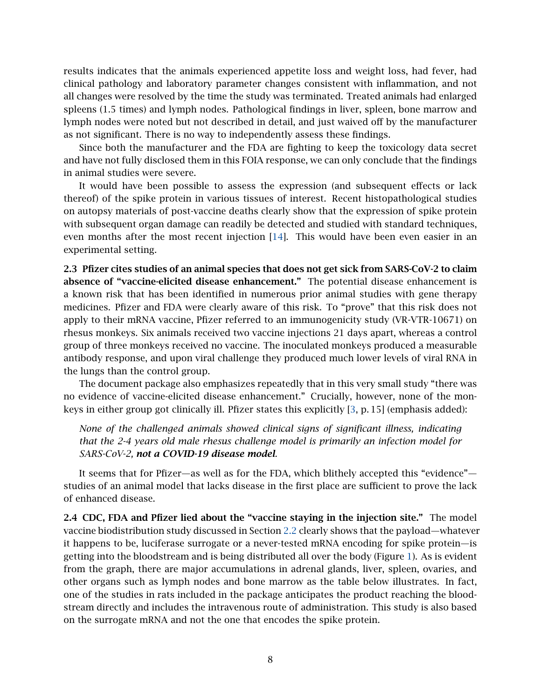results indicates that the animals experienced appetite loss and weight loss, had fever, had clinical pathology and laboratory parameter changes consistent with inflammation, and not all changes were resolved by the time the study was terminated. Treated animals had enlarged spleens (1.5 times) and lymph nodes. Pathological findings in liver, spleen, bone marrow and lymph nodes were noted but not described in detail, and just waived off by the manufacturer as not significant. There is no way to independently assess these findings.

Since both the manufacturer and the FDA are fighting to keep the toxicology data secret and have not fully disclosed them in this FOIA response, we can only conclude that the findings in animal studies were severe.

It would have been possible to assess the expression (and subsequent effects or lack thereof) of the spike protein in various tissues of interest. Recent histopathological studies on autopsy materials of post-vaccine deaths clearly show that the expression of spike protein with subsequent organ damage can readily be detected and studied with standard techniques, even months after the most recent injection [\[14\]](#page-15-2). This would have been even easier in an experimental setting.

2.3 Pfizer cites studies of an animal species that does not get sick from SARS-CoV-2 to claim absence of "vaccine-elicited disease enhancement." The potential disease enhancement is a known risk that has been identified in numerous prior animal studies with gene therapy medicines. Pfizer and FDA were clearly aware of this risk. To "prove" that this risk does not apply to their mRNA vaccine, Pfizer referred to an immunogenicity study (VR-VTR-10671) on rhesus monkeys. Six animals received two vaccine injections 21 days apart, whereas a control group of three monkeys received no vaccine. The inoculated monkeys produced a measurable antibody response, and upon viral challenge they produced much lower levels of viral RNA in the lungs than the control group.

The document package also emphasizes repeatedly that in this very small study "there was no evidence of vaccine-elicited disease enhancement." Crucially, however, none of the monkeys in either group got clinically ill. Pfizer states this explicitly [\[3,](#page-14-2) p. 15] (emphasis added):

*None of the challenged animals showed clinical signs of significant illness, indicating that the 2-4 years old male rhesus challenge model is primarily an infection model for SARS-CoV-2, not a COVID-19 disease model.*

It seems that for Pfizer—as well as for the FDA, which blithely accepted this "evidence" studies of an animal model that lacks disease in the first place are sufficient to prove the lack of enhanced disease.

2.4 CDC, FDA and Pfizer lied about the "vaccine staying in the injection site." The model vaccine biodistribution study discussed in Section [2.2](#page-4-0) clearly shows that the payload—whatever it happens to be, luciferase surrogate or a never-tested mRNA encoding for spike protein—is getting into the bloodstream and is being distributed all over the body (Figure [1\)](#page-8-0). As is evident from the graph, there are major accumulations in adrenal glands, liver, spleen, ovaries, and other organs such as lymph nodes and bone marrow as the table below illustrates. In fact, one of the studies in rats included in the package anticipates the product reaching the bloodstream directly and includes the intravenous route of administration. This study is also based on the surrogate mRNA and not the one that encodes the spike protein.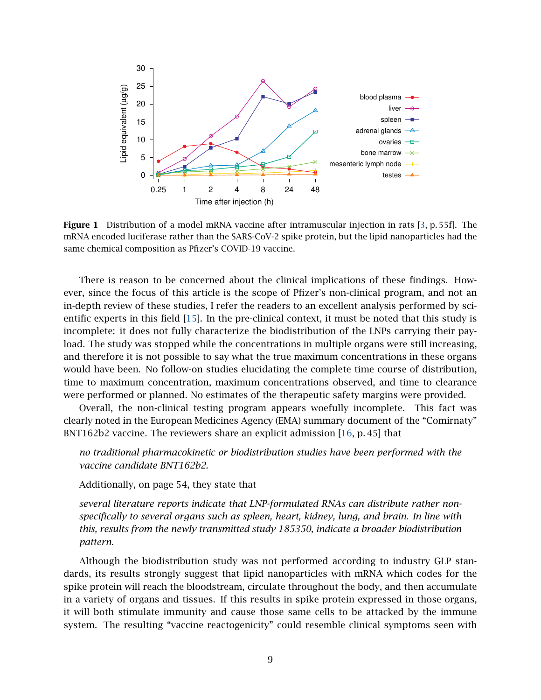<span id="page-8-0"></span>

Figure 1 Distribution of a model mRNA vaccine after intramuscular injection in rats [\[3,](#page-14-2) p. 55f]. The mRNA encoded luciferase rather than the SARS-CoV-2 spike protein, but the lipid nanoparticles had the same chemical composition as Pfizer's COVID-19 vaccine.

There is reason to be concerned about the clinical implications of these findings. However, since the focus of this article is the scope of Pfizer's non-clinical program, and not an in-depth review of these studies, I refer the readers to an excellent analysis performed by scientific experts in this field [\[15\]](#page-15-3). In the pre-clinical context, it must be noted that this study is incomplete: it does not fully characterize the biodistribution of the LNPs carrying their payload. The study was stopped while the concentrations in multiple organs were still increasing, and therefore it is not possible to say what the true maximum concentrations in these organs would have been. No follow-on studies elucidating the complete time course of distribution, time to maximum concentration, maximum concentrations observed, and time to clearance were performed or planned. No estimates of the therapeutic safety margins were provided.

Overall, the non-clinical testing program appears woefully incomplete. This fact was clearly noted in the European Medicines Agency (EMA) summary document of the "Comirnaty" BNT162b2 vaccine. The reviewers share an explicit admission [\[16,](#page-15-4) p. 45] that

*no traditional pharmacokinetic or biodistribution studies have been performed with the vaccine candidate BNT162b2.*

Additionally, on page 54, they state that

*several literature reports indicate that LNP-formulated RNAs can distribute rather nonspecifically to several organs such as spleen, heart, kidney, lung, and brain. In line with this, results from the newly transmitted study 185350, indicate a broader biodistribution pattern.*

Although the biodistribution study was not performed according to industry GLP standards, its results strongly suggest that lipid nanoparticles with mRNA which codes for the spike protein will reach the bloodstream, circulate throughout the body, and then accumulate in a variety of organs and tissues. If this results in spike protein expressed in those organs, it will both stimulate immunity and cause those same cells to be attacked by the immune system. The resulting "vaccine reactogenicity" could resemble clinical symptoms seen with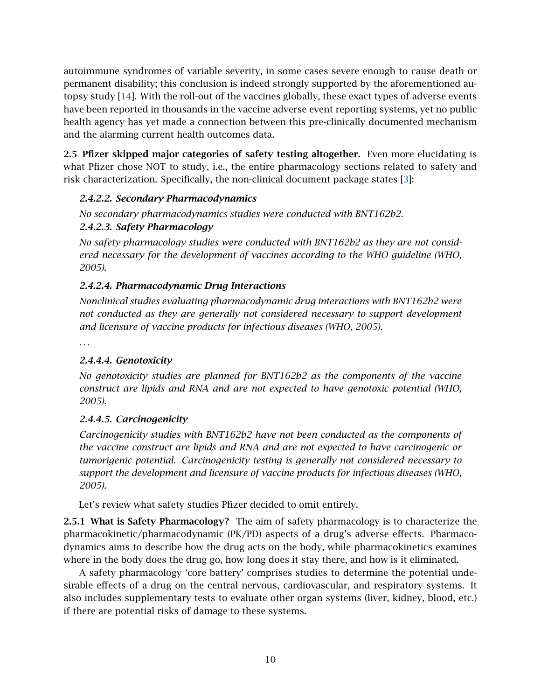autoimmune syndromes of variable severity, in some cases severe enough to cause death or permanent disability; this conclusion is indeed strongly supported by the aforementioned autopsy study [\[14\]](#page-15-2). With the roll-out of the vaccines globally, these exact types of adverse events have been reported in thousands in the vaccine adverse event reporting systems, yet no public health agency has yet made a connection between this pre-clinically documented mechanism and the alarming current health outcomes data.

2.5 Pfizer skipped major categories of safety testing altogether. Even more elucidating is what Pfizer chose NOT to study, i.e., the entire pharmacology sections related to safety and risk characterization. Specifically, the non-clinical document package states [\[3\]](#page-14-2):

# *2.4.2.2. Secondary Pharmacodynamics*

*No secondary pharmacodynamics studies were conducted with BNT162b2. 2.4.2.3. Safety Pharmacology*

*No safety pharmacology studies were conducted with BNT162b2 as they are not considered necessary for the development of vaccines according to the WHO guideline (WHO, 2005).*

# *2.4.2.4. Pharmacodynamic Drug Interactions*

*Nonclinical studies evaluating pharmacodynamic drug interactions with BNT162b2 were not conducted as they are generally not considered necessary to support development and licensure of vaccine products for infectious diseases (WHO, 2005).*

*. . .*

### *2.4.4.4. Genotoxicity*

*No genotoxicity studies are planned for BNT162b2 as the components of the vaccine construct are lipids and RNA and are not expected to have genotoxic potential (WHO, 2005).*

### *2.4.4.5. Carcinogenicity*

*Carcinogenicity studies with BNT162b2 have not been conducted as the components of the vaccine construct are lipids and RNA and are not expected to have carcinogenic or tumorigenic potential. Carcinogenicity testing is generally not considered necessary to support the development and licensure of vaccine products for infectious diseases (WHO, 2005).*

Let's review what safety studies Pfizer decided to omit entirely.

2.5.1 What is Safety Pharmacology? The aim of safety pharmacology is to characterize the pharmacokinetic/pharmacodynamic (PK/PD) aspects of a drug's adverse effects. Pharmacodynamics aims to describe how the drug acts on the body, while pharmacokinetics examines where in the body does the drug go, how long does it stay there, and how is it eliminated.

A safety pharmacology 'core battery' comprises studies to determine the potential undesirable effects of a drug on the central nervous, cardiovascular, and respiratory systems. It also includes supplementary tests to evaluate other organ systems (liver, kidney, blood, etc.) if there are potential risks of damage to these systems.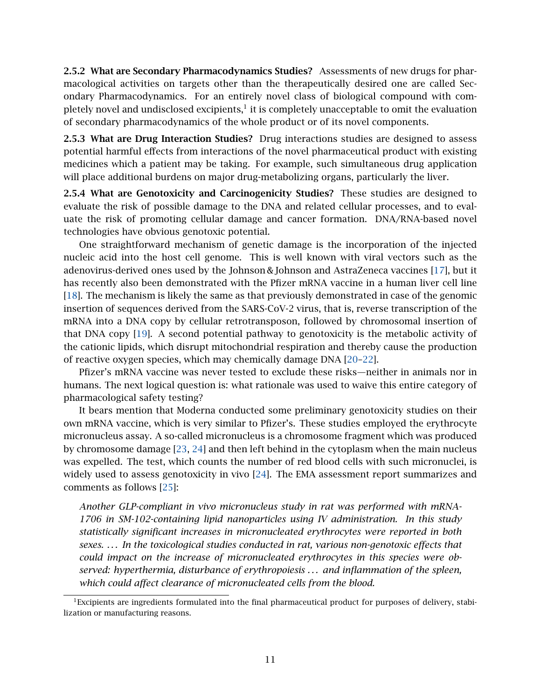2.5.2 What are Secondary Pharmacodynamics Studies? Assessments of new drugs for pharmacological activities on targets other than the therapeutically desired one are called Secondary Pharmacodynamics. For an entirely novel class of biological compound with completely novel and undisclosed excipients, $^1$  it is completely unacceptable to omit the evaluation of secondary pharmacodynamics of the whole product or of its novel components.

2.5.3 What are Drug Interaction Studies? Drug interactions studies are designed to assess potential harmful effects from interactions of the novel pharmaceutical product with existing medicines which a patient may be taking. For example, such simultaneous drug application will place additional burdens on major drug-metabolizing organs, particularly the liver.

2.5.4 What are Genotoxicity and Carcinogenicity Studies? These studies are designed to evaluate the risk of possible damage to the DNA and related cellular processes, and to evaluate the risk of promoting cellular damage and cancer formation. DNA/RNA-based novel technologies have obvious genotoxic potential.

One straightforward mechanism of genetic damage is the incorporation of the injected nucleic acid into the host cell genome. This is well known with viral vectors such as the adenovirus-derived ones used by the Johnson & Johnson and AstraZeneca vaccines [\[17\]](#page-15-5), but it has recently also been demonstrated with the Pfizer mRNA vaccine in a human liver cell line [\[18\]](#page-15-6). The mechanism is likely the same as that previously demonstrated in case of the genomic insertion of sequences derived from the SARS-CoV-2 virus, that is, reverse transcription of the mRNA into a DNA copy by cellular retrotransposon, followed by chromosomal insertion of that DNA copy [\[19\]](#page-15-7). A second potential pathway to genotoxicity is the metabolic activity of the cationic lipids, which disrupt mitochondrial respiration and thereby cause the production of reactive oxygen species, which may chemically damage DNA [\[20](#page-15-8)[–22\]](#page-15-9).

Pfizer's mRNA vaccine was never tested to exclude these risks—neither in animals nor in humans. The next logical question is: what rationale was used to waive this entire category of pharmacological safety testing?

It bears mention that Moderna conducted some preliminary genotoxicity studies on their own mRNA vaccine, which is very similar to Pfizer's. These studies employed the erythrocyte micronucleus assay. A so-called micronucleus is a chromosome fragment which was produced by chromosome damage [\[23,](#page-15-10) [24\]](#page-15-11) and then left behind in the cytoplasm when the main nucleus was expelled. The test, which counts the number of red blood cells with such micronuclei, is widely used to assess genotoxicity in vivo [\[24\]](#page-15-11). The EMA assessment report summarizes and comments as follows [\[25\]](#page-15-12):

*Another GLP-compliant in vivo micronucleus study in rat was performed with mRNA-1706 in SM-102-containing lipid nanoparticles using IV administration. In this study statistically significant increases in micronucleated erythrocytes were reported in both sexes. . . . In the toxicological studies conducted in rat, various non-genotoxic effects that could impact on the increase of micronucleated erythrocytes in this species were observed: hyperthermia, disturbance of erythropoiesis . . . and inflammation of the spleen, which could affect clearance of micronucleated cells from the blood.*

 ${}^{1}$ Excipients are ingredients formulated into the final pharmaceutical product for purposes of delivery, stabilization or manufacturing reasons.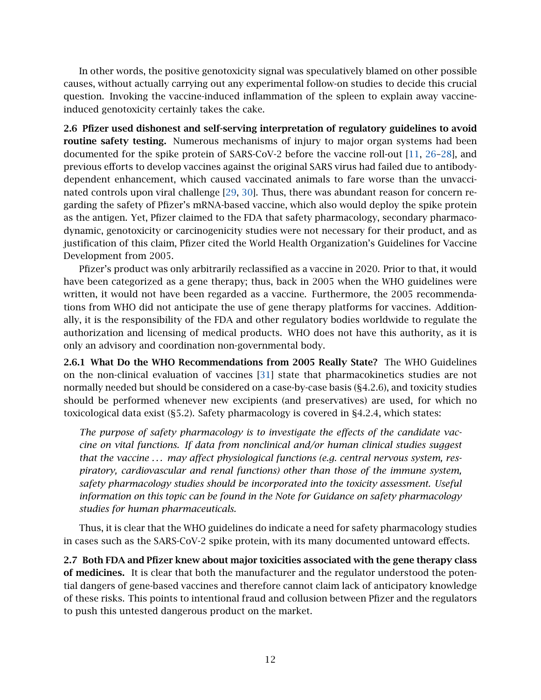In other words, the positive genotoxicity signal was speculatively blamed on other possible causes, without actually carrying out any experimental follow-on studies to decide this crucial question. Invoking the vaccine-induced inflammation of the spleen to explain away vaccineinduced genotoxicity certainly takes the cake.

2.6 Pfizer used dishonest and self-serving interpretation of regulatory guidelines to avoid routine safety testing. Numerous mechanisms of injury to major organ systems had been documented for the spike protein of SARS-CoV-2 before the vaccine roll-out [\[11,](#page-15-0) [26](#page-15-13)[–28\]](#page-16-0), and previous efforts to develop vaccines against the original SARS virus had failed due to antibodydependent enhancement, which caused vaccinated animals to fare worse than the unvaccinated controls upon viral challenge [\[29,](#page-16-1) [30\]](#page-16-2). Thus, there was abundant reason for concern regarding the safety of Pfizer's mRNA-based vaccine, which also would deploy the spike protein as the antigen. Yet, Pfizer claimed to the FDA that safety pharmacology, secondary pharmacodynamic, genotoxicity or carcinogenicity studies were not necessary for their product, and as justification of this claim, Pfizer cited the World Health Organization's Guidelines for Vaccine Development from 2005.

Pfizer's product was only arbitrarily reclassified as a vaccine in 2020. Prior to that, it would have been categorized as a gene therapy; thus, back in 2005 when the WHO guidelines were written, it would not have been regarded as a vaccine. Furthermore, the 2005 recommendations from WHO did not anticipate the use of gene therapy platforms for vaccines. Additionally, it is the responsibility of the FDA and other regulatory bodies worldwide to regulate the authorization and licensing of medical products. WHO does not have this authority, as it is only an advisory and coordination non-governmental body.

2.6.1 What Do the WHO Recommendations from 2005 Really State? The WHO Guidelines on the non-clinical evaluation of vaccines [\[31\]](#page-16-3) state that pharmacokinetics studies are not normally needed but should be considered on a case-by-case basis (§4.2.6), and toxicity studies should be performed whenever new excipients (and preservatives) are used, for which no toxicological data exist (§5.2). Safety pharmacology is covered in §4.2.4, which states:

*The purpose of safety pharmacology is to investigate the effects of the candidate vaccine on vital functions. If data from nonclinical and/or human clinical studies suggest that the vaccine . . . may affect physiological functions (e.g. central nervous system, respiratory, cardiovascular and renal functions) other than those of the immune system, safety pharmacology studies should be incorporated into the toxicity assessment. Useful information on this topic can be found in the Note for Guidance on safety pharmacology studies for human pharmaceuticals.*

Thus, it is clear that the WHO guidelines do indicate a need for safety pharmacology studies in cases such as the SARS-CoV-2 spike protein, with its many documented untoward effects.

<span id="page-11-0"></span>2.7 Both FDA and Pfizer knew about major toxicities associated with the gene therapy class of medicines. It is clear that both the manufacturer and the regulator understood the potential dangers of gene-based vaccines and therefore cannot claim lack of anticipatory knowledge of these risks. This points to intentional fraud and collusion between Pfizer and the regulators to push this untested dangerous product on the market.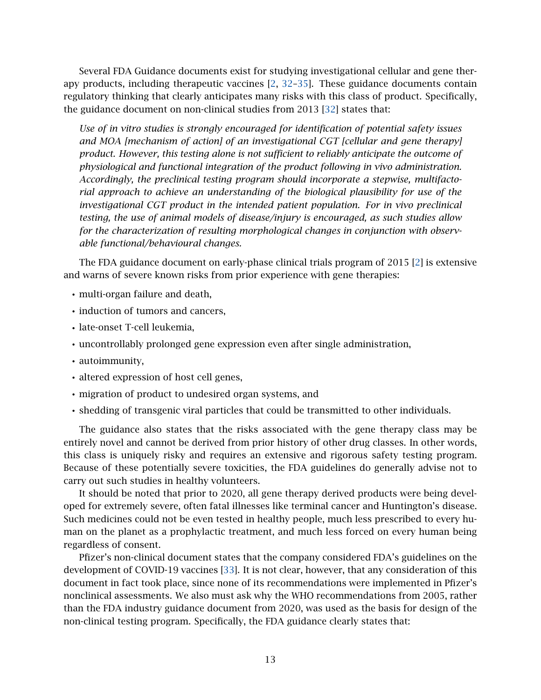Several FDA Guidance documents exist for studying investigational cellular and gene therapy products, including therapeutic vaccines [\[2,](#page-14-1) [32–](#page-16-4)[35\]](#page-16-5). These guidance documents contain regulatory thinking that clearly anticipates many risks with this class of product. Specifically, the guidance document on non-clinical studies from 2013 [\[32\]](#page-16-4) states that:

*Use of in vitro studies is strongly encouraged for identification of potential safety issues and MOA [mechanism of action] of an investigational CGT [cellular and gene therapy] product. However, this testing alone is not sufficient to reliably anticipate the outcome of physiological and functional integration of the product following in vivo administration. Accordingly, the preclinical testing program should incorporate a stepwise, multifactorial approach to achieve an understanding of the biological plausibility for use of the investigational CGT product in the intended patient population. For in vivo preclinical testing, the use of animal models of disease/injury is encouraged, as such studies allow for the characterization of resulting morphological changes in conjunction with observable functional/behavioural changes.*

The FDA guidance document on early-phase clinical trials program of 2015 [\[2\]](#page-14-1) is extensive and warns of severe known risks from prior experience with gene therapies:

- multi-organ failure and death,
- induction of tumors and cancers,
- late-onset T-cell leukemia,
- uncontrollably prolonged gene expression even after single administration,
- autoimmunity,
- altered expression of host cell genes,
- migration of product to undesired organ systems, and
- shedding of transgenic viral particles that could be transmitted to other individuals.

The guidance also states that the risks associated with the gene therapy class may be entirely novel and cannot be derived from prior history of other drug classes. In other words, this class is uniquely risky and requires an extensive and rigorous safety testing program. Because of these potentially severe toxicities, the FDA guidelines do generally advise not to carry out such studies in healthy volunteers.

It should be noted that prior to 2020, all gene therapy derived products were being developed for extremely severe, often fatal illnesses like terminal cancer and Huntington's disease. Such medicines could not be even tested in healthy people, much less prescribed to every human on the planet as a prophylactic treatment, and much less forced on every human being regardless of consent.

Pfizer's non-clinical document states that the company considered FDA's guidelines on the development of COVID-19 vaccines [\[33\]](#page-16-6). It is not clear, however, that any consideration of this document in fact took place, since none of its recommendations were implemented in Pfizer's nonclinical assessments. We also must ask why the WHO recommendations from 2005, rather than the FDA industry guidance document from 2020, was used as the basis for design of the non-clinical testing program. Specifically, the FDA guidance clearly states that: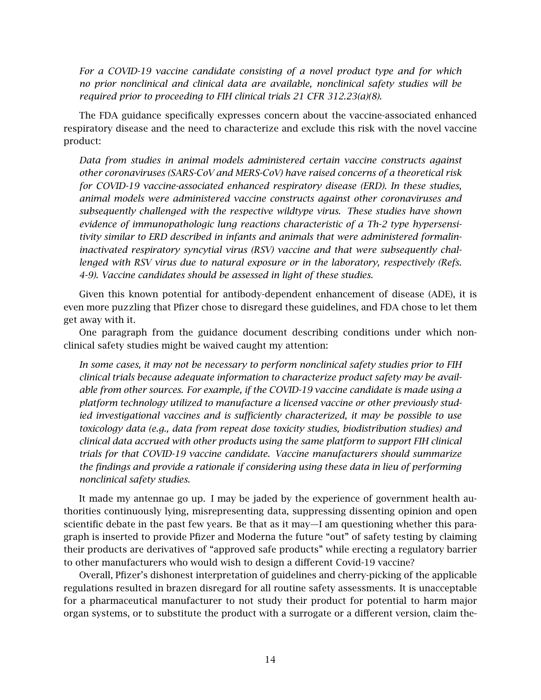*For a COVID-19 vaccine candidate consisting of a novel product type and for which no prior nonclinical and clinical data are available, nonclinical safety studies will be required prior to proceeding to FIH clinical trials 21 CFR 312.23(a)(8).*

The FDA guidance specifically expresses concern about the vaccine-associated enhanced respiratory disease and the need to characterize and exclude this risk with the novel vaccine product:

*Data from studies in animal models administered certain vaccine constructs against other coronaviruses (SARS-CoV and MERS-CoV) have raised concerns of a theoretical risk for COVID-19 vaccine-associated enhanced respiratory disease (ERD). In these studies, animal models were administered vaccine constructs against other coronaviruses and subsequently challenged with the respective wildtype virus. These studies have shown evidence of immunopathologic lung reactions characteristic of a Th-2 type hypersensitivity similar to ERD described in infants and animals that were administered formalininactivated respiratory syncytial virus (RSV) vaccine and that were subsequently challenged with RSV virus due to natural exposure or in the laboratory, respectively (Refs. 4-9). Vaccine candidates should be assessed in light of these studies.*

Given this known potential for antibody-dependent enhancement of disease (ADE), it is even more puzzling that Pfizer chose to disregard these guidelines, and FDA chose to let them get away with it.

One paragraph from the guidance document describing conditions under which nonclinical safety studies might be waived caught my attention:

*In some cases, it may not be necessary to perform nonclinical safety studies prior to FIH clinical trials because adequate information to characterize product safety may be available from other sources. For example, if the COVID-19 vaccine candidate is made using a platform technology utilized to manufacture a licensed vaccine or other previously studied investigational vaccines and is sufficiently characterized, it may be possible to use toxicology data (e.g., data from repeat dose toxicity studies, biodistribution studies) and clinical data accrued with other products using the same platform to support FIH clinical trials for that COVID-19 vaccine candidate. Vaccine manufacturers should summarize the findings and provide a rationale if considering using these data in lieu of performing nonclinical safety studies.*

It made my antennae go up. I may be jaded by the experience of government health authorities continuously lying, misrepresenting data, suppressing dissenting opinion and open scientific debate in the past few years. Be that as it may—I am questioning whether this paragraph is inserted to provide Pfizer and Moderna the future "out" of safety testing by claiming their products are derivatives of "approved safe products" while erecting a regulatory barrier to other manufacturers who would wish to design a different Covid-19 vaccine?

Overall, Pfizer's dishonest interpretation of guidelines and cherry-picking of the applicable regulations resulted in brazen disregard for all routine safety assessments. It is unacceptable for a pharmaceutical manufacturer to not study their product for potential to harm major organ systems, or to substitute the product with a surrogate or a different version, claim the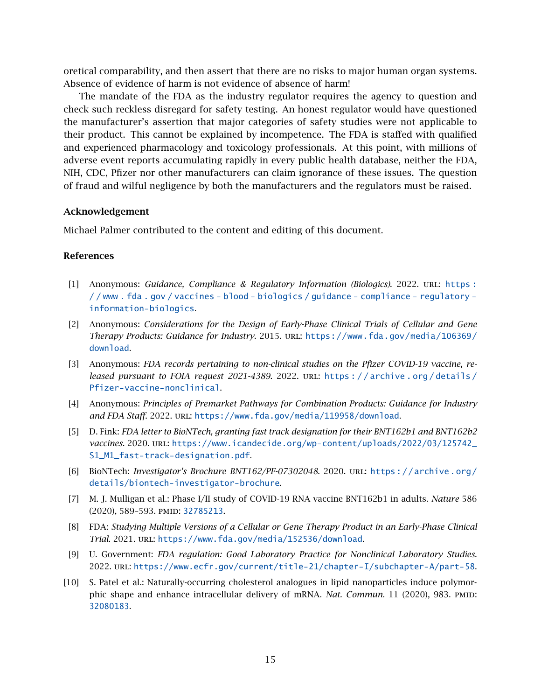oretical comparability, and then assert that there are no risks to major human organ systems. Absence of evidence of harm is not evidence of absence of harm!

The mandate of the FDA as the industry regulator requires the agency to question and check such reckless disregard for safety testing. An honest regulator would have questioned the manufacturer's assertion that major categories of safety studies were not applicable to their product. This cannot be explained by incompetence. The FDA is staffed with qualified and experienced pharmacology and toxicology professionals. At this point, with millions of adverse event reports accumulating rapidly in every public health database, neither the FDA, NIH, CDC, Pfizer nor other manufacturers can claim ignorance of these issues. The question of fraud and wilful negligence by both the manufacturers and the regulators must be raised.

#### Acknowledgement

Michael Palmer contributed to the content and editing of this document.

#### References

- <span id="page-14-0"></span>[1] Anonymous: *Guidance, Compliance & Regulatory Information (Biologics)*. 2022. url: [https :](https://www.fda.gov/vaccines-blood-biologics/guidance-compliance-regulatory-information-biologics) [/ / www . fda . gov / vaccines - blood - biologics / guidance - compliance - regulatory](https://www.fda.gov/vaccines-blood-biologics/guidance-compliance-regulatory-information-biologics)  [information-biologics](https://www.fda.gov/vaccines-blood-biologics/guidance-compliance-regulatory-information-biologics).
- <span id="page-14-1"></span>[2] Anonymous: *Considerations for the Design of Early-Phase Clinical Trials of Cellular and Gene Therapy Products: Guidance for Industry*. 2015. url: [https://www.fda.gov/media/106369/](https://www.fda.gov/media/106369/download) [download](https://www.fda.gov/media/106369/download).
- <span id="page-14-2"></span>[3] Anonymous: *FDA records pertaining to non-clinical studies on the Pfizer COVID-19 vaccine, released pursuant to FOIA request 2021-4389.* 2022. URL: https://archive.org/details/ [Pfizer-vaccine-nonclinical](https://archive.org/details/Pfizer-vaccine-nonclinical).
- <span id="page-14-3"></span>[4] Anonymous: *Principles of Premarket Pathways for Combination Products: Guidance for Industry* and FDA Staff. 2022. URL: <https://www.fda.gov/media/119958/download>.
- <span id="page-14-4"></span>[5] D. Fink: *FDA letter to BioNTech, granting fast track designation for their BNT162b1 and BNT162b2 vaccines*. 2020. url: [https://www.icandecide.org/wp-content/uploads/2022/03/125742\\_](https://www.icandecide.org/wp-content/uploads/2022/03/125742_S1_M1_fast-track-designation.pdf) [S1\\_M1\\_fast-track-designation.pdf](https://www.icandecide.org/wp-content/uploads/2022/03/125742_S1_M1_fast-track-designation.pdf).
- <span id="page-14-5"></span>[6] BioNTech: *Investigator's Brochure BNT162/PF-07302048*. 2020. url: [https://archive.org/](https://archive.org/details/biontech-investigator-brochure) [details/biontech-investigator-brochure](https://archive.org/details/biontech-investigator-brochure).
- <span id="page-14-6"></span>[7] M. J. Mulligan et al.: Phase I/II study of COVID-19 RNA vaccine BNT162b1 in adults. *Nature* 586 (2020), 589–593. pmid: [32785213](http://www.ncbi.nlm.nih.gov/pubmed/32785213).
- <span id="page-14-7"></span>[8] FDA: *Studying Multiple Versions of a Cellular or Gene Therapy Product in an Early-Phase Clinical Trial*. 2021. url: <https://www.fda.gov/media/152536/download>.
- <span id="page-14-8"></span>[9] U. Government: *FDA regulation: Good Laboratory Practice for Nonclinical Laboratory Studies*. 2022. url: <https://www.ecfr.gov/current/title-21/chapter-I/subchapter-A/part-58>.
- <span id="page-14-9"></span>[10] S. Patel et al.: Naturally-occurring cholesterol analogues in lipid nanoparticles induce polymorphic shape and enhance intracellular delivery of mRNA. *Nat. Commun.* 11 (2020), 983. PMID: [32080183](http://www.ncbi.nlm.nih.gov/pubmed/32080183).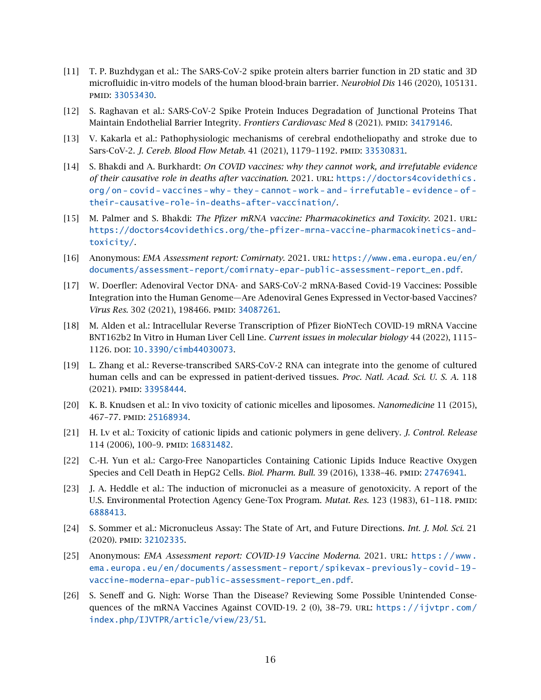- <span id="page-15-0"></span>[11] T. P. Buzhdygan et al.: The SARS-CoV-2 spike protein alters barrier function in 2D static and 3D microfluidic in-vitro models of the human blood-brain barrier. *Neurobiol Dis* 146 (2020), 105131. pmid: [33053430](http://www.ncbi.nlm.nih.gov/pubmed/33053430).
- [12] S. Raghavan et al.: SARS-CoV-2 Spike Protein Induces Degradation of Junctional Proteins That Maintain Endothelial Barrier Integrity. *Frontiers Cardiovasc Med* 8 (2021). PMID: [34179146](http://www.ncbi.nlm.nih.gov/pubmed/34179146).
- <span id="page-15-1"></span>[13] V. Kakarla et al.: Pathophysiologic mechanisms of cerebral endotheliopathy and stroke due to Sars-CoV-2. *J. Cereb. Blood Flow Metab.* 41 (2021), 1179-1192. PMID: [33530831](http://www.ncbi.nlm.nih.gov/pubmed/33530831).
- <span id="page-15-2"></span>[14] S. Bhakdi and A. Burkhardt: *On COVID vaccines: why they cannot work, and irrefutable evidence of their causative role in deaths after vaccination*. 2021. url: [https://doctors4covidethics.](https://doctors4covidethics.org/on-covid-vaccines-why-they-cannot-work-and-irrefutable-evidence-of-their-causative-role-in-deaths-after-vaccination/) [org / on - covid - vaccines - why - they - cannot - work - and - irrefutable - evidence - of](https://doctors4covidethics.org/on-covid-vaccines-why-they-cannot-work-and-irrefutable-evidence-of-their-causative-role-in-deaths-after-vaccination/)  [their-causative-role-in-deaths-after-vaccination/](https://doctors4covidethics.org/on-covid-vaccines-why-they-cannot-work-and-irrefutable-evidence-of-their-causative-role-in-deaths-after-vaccination/).
- <span id="page-15-3"></span>[15] M. Palmer and S. Bhakdi: *The Pfizer mRNA vaccine: Pharmacokinetics and Toxicity*. 2021. url: [https://doctors4covidethics.org/the-pfizer-mrna-vaccine-pharmacokinetics-and](https://doctors4covidethics.org/the-pfizer-mrna-vaccine-pharmacokinetics-and-toxicity/)[toxicity/](https://doctors4covidethics.org/the-pfizer-mrna-vaccine-pharmacokinetics-and-toxicity/).
- <span id="page-15-4"></span>[16] Anonymous: *EMA Assessment report: Comirnaty*. 2021. url: [https://www.ema.europa.eu/en/](https://www.ema.europa.eu/en/documents/assessment-report/comirnaty-epar-public-assessment-report_en.pdf) [documents/assessment-report/comirnaty-epar-public-assessment-report\\_en.pdf](https://www.ema.europa.eu/en/documents/assessment-report/comirnaty-epar-public-assessment-report_en.pdf).
- <span id="page-15-5"></span>[17] W. Doerfler: Adenoviral Vector DNA- and SARS-CoV-2 mRNA-Based Covid-19 Vaccines: Possible Integration into the Human Genome—Are Adenoviral Genes Expressed in Vector-based Vaccines? *Virus Res.* 302 (2021), 198466. PMID: [34087261](http://www.ncbi.nlm.nih.gov/pubmed/34087261).
- <span id="page-15-6"></span>[18] M. Alden et al.: Intracellular Reverse Transcription of Pfizer BioNTech COVID-19 mRNA Vaccine BNT162b2 In Vitro in Human Liver Cell Line. *Current issues in molecular biology* 44 (2022), 1115– 1126. doi: [10.3390/cimb44030073](http://dx.doi.org/10.3390/cimb44030073).
- <span id="page-15-7"></span>[19] L. Zhang et al.: Reverse-transcribed SARS-CoV-2 RNA can integrate into the genome of cultured human cells and can be expressed in patient-derived tissues. *Proc. Natl. Acad. Sci. U. S. A.* 118 (2021). pmid: [33958444](http://www.ncbi.nlm.nih.gov/pubmed/33958444).
- <span id="page-15-8"></span>[20] K. B. Knudsen et al.: In vivo toxicity of cationic micelles and liposomes. *Nanomedicine* 11 (2015), 467–77. pmid: [25168934](http://www.ncbi.nlm.nih.gov/pubmed/25168934).
- [21] H. Lv et al.: Toxicity of cationic lipids and cationic polymers in gene delivery. *J. Control. Release* 114 (2006), 100–9. pmid: [16831482](http://www.ncbi.nlm.nih.gov/pubmed/16831482).
- <span id="page-15-9"></span>[22] C.-H. Yun et al.: Cargo-Free Nanoparticles Containing Cationic Lipids Induce Reactive Oxygen Species and Cell Death in HepG2 Cells. *Biol. Pharm. Bull.* 39 (2016), 1338-46. PMID: [27476941](http://www.ncbi.nlm.nih.gov/pubmed/27476941).
- <span id="page-15-10"></span>[23] J. A. Heddle et al.: The induction of micronuclei as a measure of genotoxicity. A report of the U.S. Environmental Protection Agency Gene-Tox Program. *Mutat. Res.* 123 (1983), 61-118. PMID: [6888413](http://www.ncbi.nlm.nih.gov/pubmed/6888413).
- <span id="page-15-11"></span>[24] S. Sommer et al.: Micronucleus Assay: The State of Art, and Future Directions. *Int. J. Mol. Sci.* 21 (2020). pmid: [32102335](http://www.ncbi.nlm.nih.gov/pubmed/32102335).
- <span id="page-15-12"></span>[25] Anonymous: *EMA Assessment report: COVID-19 Vaccine Moderna*. 2021. url: [https : / / www .](https://www.ema.europa.eu/en/documents/assessment-report/spikevax-previously-covid-19-vaccine-moderna-epar-public-assessment-report_en.pdf) [ema.europa.eu/en/documents/assessment- report/spikevax- previously- covid- 19](https://www.ema.europa.eu/en/documents/assessment-report/spikevax-previously-covid-19-vaccine-moderna-epar-public-assessment-report_en.pdf) [vaccine-moderna-epar-public-assessment-report\\_en.pdf](https://www.ema.europa.eu/en/documents/assessment-report/spikevax-previously-covid-19-vaccine-moderna-epar-public-assessment-report_en.pdf).
- <span id="page-15-13"></span>[26] S. Seneff and G. Nigh: Worse Than the Disease? Reviewing Some Possible Unintended Consequences of the mRNA Vaccines Against COVID-19. 2 (0), 38–79. url: [https://ijvtpr.com/](https://ijvtpr.com/index.php/IJVTPR/article/view/23/51) [index.php/IJVTPR/article/view/23/51](https://ijvtpr.com/index.php/IJVTPR/article/view/23/51).